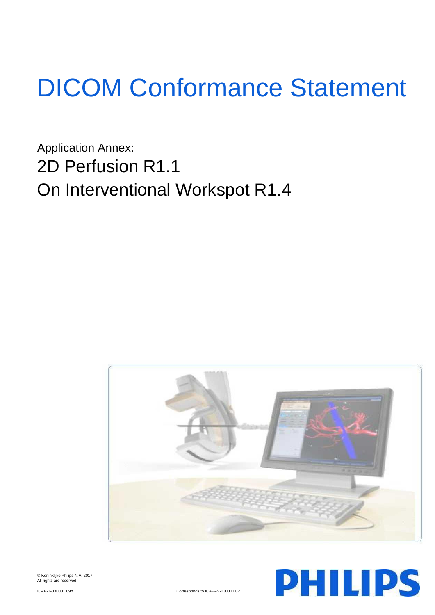# DICOM Conformance Statement

Application Annex: 2D Perfusion R1.1 On Interventional Workspot R1.4





© Koninklijke Philips N.V. 2017 All rights are reserved.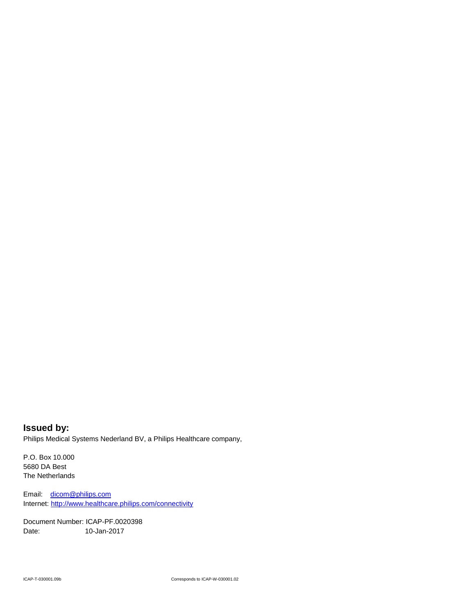**Issued by:** Philips Medical Systems Nederland BV, a Philips Healthcare company,

P.O. Box 10.000 5680 DA Best The Netherlands

Email: [dicom@philips.com](mailto:dicom@philips.com) Internet[: http://www.healthcare.philips.com/connectivity](http://www.healthcare.philips.com/connectivity)

Document Number: ICAP-PF.0020398 Date: 10-Jan-2017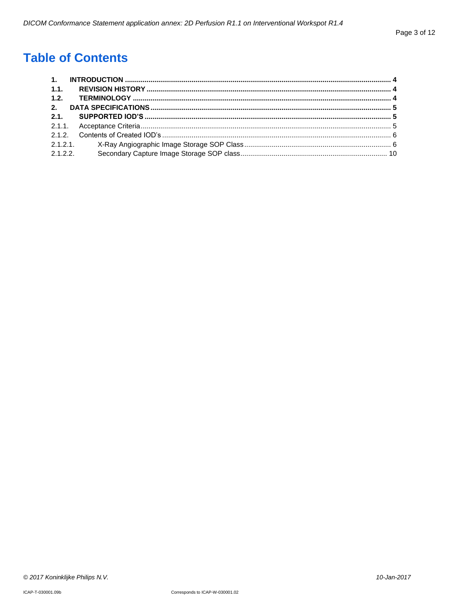# **Table of Contents**

| 2.1.2.2. |  |
|----------|--|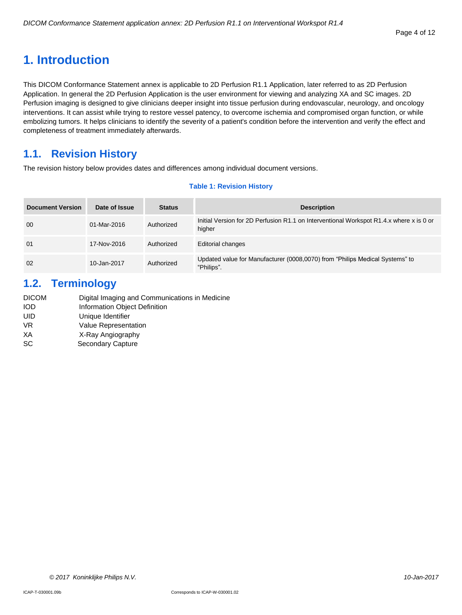# <span id="page-3-0"></span>**1. Introduction**

This DICOM Conformance Statement annex is applicable to 2D Perfusion R1.1 Application, later referred to as 2D Perfusion Application. In general the 2D Perfusion Application is the user environment for viewing and analyzing XA and SC images. 2D Perfusion imaging is designed to give clinicians deeper insight into tissue perfusion during endovascular, neurology, and oncology interventions. It can assist while trying to restore vessel patency, to overcome ischemia and compromised organ function, or while embolizing tumors. It helps clinicians to identify the severity of a patient's condition before the intervention and verify the effect and completeness of treatment immediately afterwards.

# <span id="page-3-1"></span>**1.1. Revision History**

The revision history below provides dates and differences among individual document versions.

#### **Table 1: Revision History**

| <b>Document Version</b> | Date of Issue | <b>Status</b> | <b>Description</b>                                                                                |
|-------------------------|---------------|---------------|---------------------------------------------------------------------------------------------------|
| 00                      | 01-Mar-2016   | Authorized    | Initial Version for 2D Perfusion R1.1 on Interventional Workspot R1.4.x where x is 0 or<br>higher |
| 01                      | 17-Nov-2016   | Authorized    | <b>Editorial changes</b>                                                                          |
| 02                      | 10-Jan-2017   | Authorized    | Updated value for Manufacturer (0008,0070) from "Philips Medical Systems" to<br>"Philips".        |

## <span id="page-3-2"></span>**1.2. Terminology**

| Digital Imaging and Communications in Medicine |
|------------------------------------------------|
| Information Object Definition                  |
| Unique Identifier                              |
| Value Representation                           |
| X-Ray Angiography                              |
| Secondary Capture                              |
|                                                |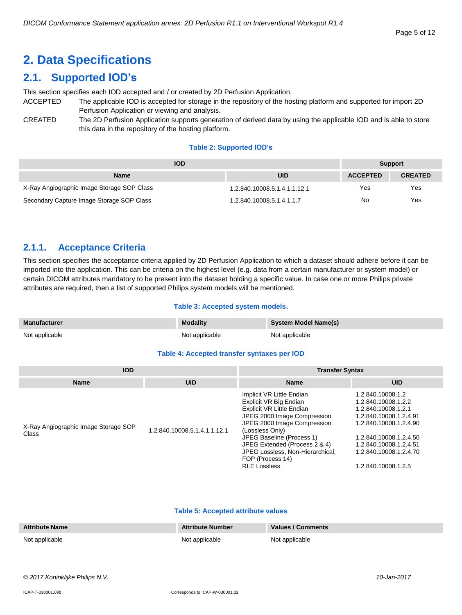# <span id="page-4-0"></span>**2. Data Specifications**

# <span id="page-4-1"></span>**2.1. Supported IOD's**

This section specifies each IOD accepted and / or created by 2D Perfusion Application.

- ACCEPTED The applicable IOD is accepted for storage in the repository of the hosting platform and supported for import 2D Perfusion Application or viewing and analysis.
- CREATED The 2D Perfusion Application supports generation of derived data by using the applicable IOD and is able to store this data in the repository of the hosting platform.

#### **Table 2: Supported IOD's**

| <b>IOD</b>                                 | <b>Support</b>               |                 |                |
|--------------------------------------------|------------------------------|-----------------|----------------|
| <b>Name</b>                                | <b>UID</b>                   | <b>ACCEPTED</b> | <b>CREATED</b> |
| X-Ray Angiographic Image Storage SOP Class | 1.2.840.10008.5.1.4.1.1.12.1 | Yes             | Yes            |
| Secondary Capture Image Storage SOP Class  | 1.2.840.10008.5.1.4.1.1.7    | No              | Yes            |

## <span id="page-4-2"></span>**2.1.1. Acceptance Criteria**

This section specifies the acceptance criteria applied by 2D Perfusion Application to which a dataset should adhere before it can be imported into the application. This can be criteria on the highest level (e.g. data from a certain manufacturer or system model) or certain DICOM attributes mandatory to be present into the dataset holding a specific value. In case one or more Philips private attributes are required, then a list of supported Philips system models will be mentioned.

#### **Table 3: Accepted system models.**

| <b>Manufacturer</b> | <b>Modality</b> | <b>System Model Name(s)</b> |
|---------------------|-----------------|-----------------------------|
| Not applicable      | Not applicable  | Not applicable              |

#### **Table 4: Accepted transfer syntaxes per IOD**

| <b>IOD</b>                                    |                              | <b>Transfer Syntax</b>                                                                                                                                                                                                                                                                                         |                                                                                                                                                                                                                          |  |
|-----------------------------------------------|------------------------------|----------------------------------------------------------------------------------------------------------------------------------------------------------------------------------------------------------------------------------------------------------------------------------------------------------------|--------------------------------------------------------------------------------------------------------------------------------------------------------------------------------------------------------------------------|--|
| <b>Name</b>                                   | <b>UID</b>                   | <b>Name</b>                                                                                                                                                                                                                                                                                                    | <b>UID</b>                                                                                                                                                                                                               |  |
| X-Ray Angiographic Image Storage SOP<br>Class | 1.2.840.10008.5.1.4.1.1.12.1 | Implicit VR Little Endian<br>Explicit VR Big Endian<br>Explicit VR Little Endian<br>JPEG 2000 Image Compression<br>JPEG 2000 Image Compression<br>(Lossless Only)<br>JPEG Baseline (Process 1)<br>JPEG Extended (Process 2 & 4)<br>JPEG Lossless, Non-Hierarchical,<br>FOP (Process 14)<br><b>RLE Lossless</b> | 1.2.840.10008.1.2<br>1.2.840.10008.1.2.2<br>1.2.840.10008.1.2.1<br>1.2.840.10008.1.2.4.91<br>1.2.840.10008.1.2.4.90<br>1.2.840.10008.1.2.4.50<br>1.2.840.10008.1.2.4.51<br>1.2.840.10008.1.2.4.70<br>1.2.840.10008.1.2.5 |  |

#### **Table 5: Accepted attribute values**

| <b>Attribute Name</b> | <b>Attribute Number</b> | Values / Comments |
|-----------------------|-------------------------|-------------------|
| Not applicable        | Not applicable          | Not applicable    |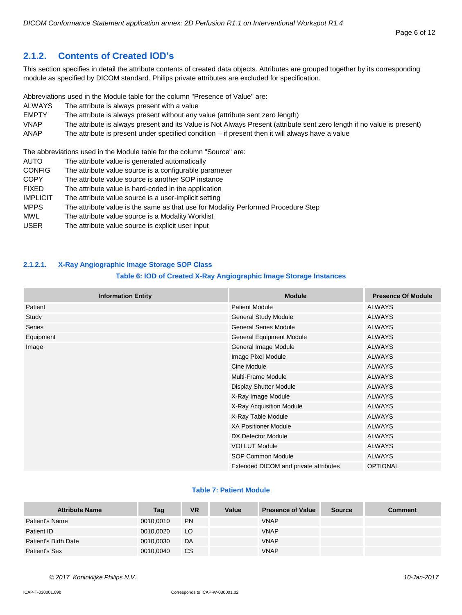## <span id="page-5-0"></span>**2.1.2. Contents of Created IOD's**

This section specifies in detail the attribute contents of created data objects. Attributes are grouped together by its corresponding module as specified by DICOM standard. Philips private attributes are excluded for specification.

Abbreviations used in the Module table for the column "Presence of Value" are:

- ALWAYS The attribute is always present with a value
- EMPTY The attribute is always present without any value (attribute sent zero length)
- VNAP The attribute is always present and its Value is Not Always Present (attribute sent zero length if no value is present)
- ANAP The attribute is present under specified condition if present then it will always have a value

The abbreviations used in the Module table for the column "Source" are:

AUTO The attribute value is generated automatically CONFIG The attribute value source is a configurable parameter COPY The attribute value source is another SOP instance FIXED The attribute value is hard-coded in the application IMPLICIT The attribute value source is a user-implicit setting MPPS The attribute value is the same as that use for Modality Performed Procedure Step MWL The attribute value source is a Modality Worklist USER The attribute value source is explicit user input

#### <span id="page-5-1"></span>**2.1.2.1. X-Ray Angiographic Image Storage SOP Class**

#### **Table 6: IOD of Created X-Ray Angiographic Image Storage Instances**

| <b>Information Entity</b> | <b>Module</b>                         | <b>Presence Of Module</b> |
|---------------------------|---------------------------------------|---------------------------|
| Patient                   | <b>Patient Module</b>                 | <b>ALWAYS</b>             |
| Study                     | <b>General Study Module</b>           | <b>ALWAYS</b>             |
| Series                    | <b>General Series Module</b>          | <b>ALWAYS</b>             |
| Equipment                 | General Equipment Module              | <b>ALWAYS</b>             |
| Image                     | General Image Module                  | <b>ALWAYS</b>             |
|                           | Image Pixel Module                    | <b>ALWAYS</b>             |
|                           | Cine Module                           | <b>ALWAYS</b>             |
|                           | Multi-Frame Module                    | <b>ALWAYS</b>             |
|                           | <b>Display Shutter Module</b>         | <b>ALWAYS</b>             |
|                           | X-Ray Image Module                    | <b>ALWAYS</b>             |
|                           | X-Ray Acquisition Module              | <b>ALWAYS</b>             |
|                           | X-Ray Table Module                    | <b>ALWAYS</b>             |
|                           | <b>XA Positioner Module</b>           | <b>ALWAYS</b>             |
|                           | DX Detector Module                    | <b>ALWAYS</b>             |
|                           | VOI LUT Module                        | <b>ALWAYS</b>             |
|                           | SOP Common Module                     | <b>ALWAYS</b>             |
|                           | Extended DICOM and private attributes | <b>OPTIONAL</b>           |

#### **Table 7: Patient Module**

| <b>Attribute Name</b> | Tag       | <b>VR</b> | Value | <b>Presence of Value</b> | <b>Source</b> | <b>Comment</b> |
|-----------------------|-----------|-----------|-------|--------------------------|---------------|----------------|
| Patient's Name        | 0010,0010 | <b>PN</b> |       | <b>VNAP</b>              |               |                |
| Patient ID            | 0010.0020 | LO        |       | <b>VNAP</b>              |               |                |
| Patient's Birth Date  | 0010,0030 | DA        |       | <b>VNAP</b>              |               |                |
| Patient's Sex         | 0010,0040 | СS        |       | <b>VNAP</b>              |               |                |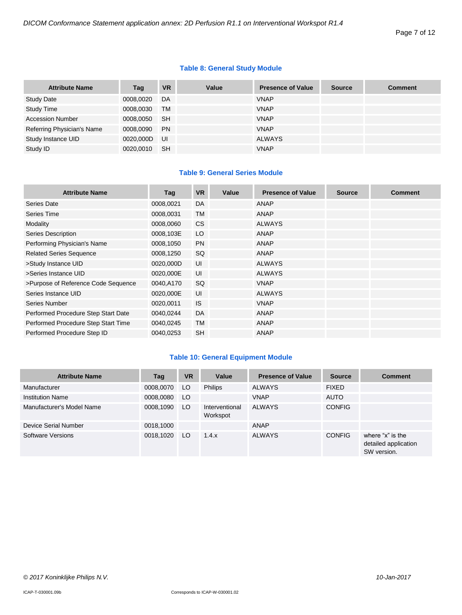#### **Table 8: General Study Module**

| <b>Attribute Name</b>      | Tag       | <b>VR</b> | Value | <b>Presence of Value</b> | <b>Source</b> | <b>Comment</b> |
|----------------------------|-----------|-----------|-------|--------------------------|---------------|----------------|
| <b>Study Date</b>          | 0008,0020 | DA        |       | <b>VNAP</b>              |               |                |
| Study Time                 | 0008,0030 | <b>TM</b> |       | <b>VNAP</b>              |               |                |
| <b>Accession Number</b>    | 0008.0050 | <b>SH</b> |       | <b>VNAP</b>              |               |                |
| Referring Physician's Name | 0008,0090 | <b>PN</b> |       | <b>VNAP</b>              |               |                |
| Study Instance UID         | 0020.000D | UI        |       | <b>ALWAYS</b>            |               |                |
| Study ID                   | 0020,0010 | <b>SH</b> |       | <b>VNAP</b>              |               |                |

#### **Table 9: General Series Module**

| <b>Attribute Name</b>               | Tag       | <b>VR</b> | Value | <b>Presence of Value</b> | <b>Source</b> | <b>Comment</b> |
|-------------------------------------|-----------|-----------|-------|--------------------------|---------------|----------------|
| Series Date                         | 0008,0021 | DA        |       | <b>ANAP</b>              |               |                |
| Series Time                         | 0008,0031 | <b>TM</b> |       | <b>ANAP</b>              |               |                |
| Modality                            | 0008,0060 | <b>CS</b> |       | <b>ALWAYS</b>            |               |                |
| <b>Series Description</b>           | 0008,103E | LO        |       | <b>ANAP</b>              |               |                |
| Performing Physician's Name         | 0008,1050 | <b>PN</b> |       | <b>ANAP</b>              |               |                |
| <b>Related Series Sequence</b>      | 0008,1250 | SQ        |       | <b>ANAP</b>              |               |                |
| >Study Instance UID                 | 0020,000D | UI        |       | <b>ALWAYS</b>            |               |                |
| >Series Instance UID                | 0020,000E | UI        |       | <b>ALWAYS</b>            |               |                |
| >Purpose of Reference Code Sequence | 0040,A170 | SQ        |       | <b>VNAP</b>              |               |                |
| Series Instance UID                 | 0020,000E | UI        |       | <b>ALWAYS</b>            |               |                |
| Series Number                       | 0020,0011 | <b>IS</b> |       | <b>VNAP</b>              |               |                |
| Performed Procedure Step Start Date | 0040,0244 | <b>DA</b> |       | <b>ANAP</b>              |               |                |
| Performed Procedure Step Start Time | 0040,0245 | <b>TM</b> |       | <b>ANAP</b>              |               |                |
| Performed Procedure Step ID         | 0040,0253 | <b>SH</b> |       | <b>ANAP</b>              |               |                |

#### **Table 10: General Equipment Module**

| <b>Attribute Name</b>     | Tag       | <b>VR</b> | Value                      | <b>Presence of Value</b> | <b>Source</b> | <b>Comment</b>                                          |
|---------------------------|-----------|-----------|----------------------------|--------------------------|---------------|---------------------------------------------------------|
| Manufacturer              | 0008,0070 | LO.       | <b>Philips</b>             | <b>ALWAYS</b>            | <b>FIXED</b>  |                                                         |
| <b>Institution Name</b>   | 0008,0080 | LO        |                            | <b>VNAP</b>              | <b>AUTO</b>   |                                                         |
| Manufacturer's Model Name | 0008,1090 | LO.       | Interventional<br>Workspot | <b>ALWAYS</b>            | <b>CONFIG</b> |                                                         |
| Device Serial Number      | 0018,1000 |           |                            | ANAP                     |               |                                                         |
| Software Versions         | 0018.1020 | LO.       | 1.4.x                      | <b>ALWAYS</b>            | <b>CONFIG</b> | where "x" is the<br>detailed application<br>SW version. |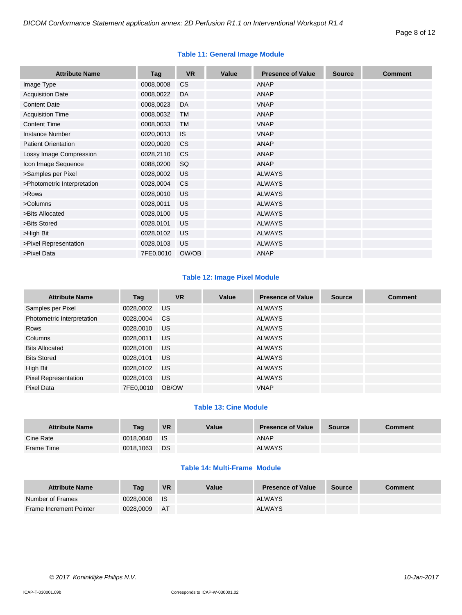| <b>Attribute Name</b>       | Tag       | <b>VR</b> | Value | <b>Presence of Value</b> | <b>Source</b> | <b>Comment</b> |
|-----------------------------|-----------|-----------|-------|--------------------------|---------------|----------------|
| Image Type                  | 0008,0008 | <b>CS</b> |       | <b>ANAP</b>              |               |                |
| <b>Acquisition Date</b>     | 0008,0022 | DA        |       | <b>ANAP</b>              |               |                |
| <b>Content Date</b>         | 0008,0023 | DA        |       | <b>VNAP</b>              |               |                |
| <b>Acquisition Time</b>     | 0008,0032 | <b>TM</b> |       | ANAP                     |               |                |
| <b>Content Time</b>         | 0008,0033 | <b>TM</b> |       | <b>VNAP</b>              |               |                |
| <b>Instance Number</b>      | 0020,0013 | <b>IS</b> |       | <b>VNAP</b>              |               |                |
| <b>Patient Orientation</b>  | 0020,0020 | CS        |       | ANAP                     |               |                |
| Lossy Image Compression     | 0028,2110 | <b>CS</b> |       | ANAP                     |               |                |
| Icon Image Sequence         | 0088,0200 | SQ        |       | ANAP                     |               |                |
| >Samples per Pixel          | 0028,0002 | <b>US</b> |       | <b>ALWAYS</b>            |               |                |
| >Photometric Interpretation | 0028,0004 | <b>CS</b> |       | <b>ALWAYS</b>            |               |                |
| >Rows                       | 0028,0010 | US        |       | <b>ALWAYS</b>            |               |                |
| >Columns                    | 0028,0011 | <b>US</b> |       | <b>ALWAYS</b>            |               |                |
| >Bits Allocated             | 0028,0100 | US        |       | <b>ALWAYS</b>            |               |                |
| >Bits Stored                | 0028,0101 | US.       |       | <b>ALWAYS</b>            |               |                |
| >High Bit                   | 0028,0102 | <b>US</b> |       | <b>ALWAYS</b>            |               |                |
| >Pixel Representation       | 0028,0103 | <b>US</b> |       | <b>ALWAYS</b>            |               |                |
| >Pixel Data                 | 7FE0,0010 | OW/OB     |       | <b>ANAP</b>              |               |                |

#### **Table 11: General Image Module**

#### **Table 12: Image Pixel Module**

| <b>Attribute Name</b>       | Tag       | <b>VR</b> | Value | <b>Presence of Value</b> | <b>Source</b> | <b>Comment</b> |
|-----------------------------|-----------|-----------|-------|--------------------------|---------------|----------------|
| Samples per Pixel           | 0028,0002 | US.       |       | <b>ALWAYS</b>            |               |                |
| Photometric Interpretation  | 0028,0004 | CS.       |       | ALWAYS                   |               |                |
| <b>Rows</b>                 | 0028,0010 | US.       |       | <b>ALWAYS</b>            |               |                |
| Columns                     | 0028,0011 | US.       |       | ALWAYS                   |               |                |
| <b>Bits Allocated</b>       | 0028,0100 | US.       |       | <b>ALWAYS</b>            |               |                |
| <b>Bits Stored</b>          | 0028,0101 | US.       |       | <b>ALWAYS</b>            |               |                |
| High Bit                    | 0028,0102 | US.       |       | ALWAYS                   |               |                |
| <b>Pixel Representation</b> | 0028,0103 | US.       |       | <b>ALWAYS</b>            |               |                |
| Pixel Data                  | 7FE0.0010 | OB/OW     |       | <b>VNAP</b>              |               |                |

## **Table 13: Cine Module**

| <b>Attribute Name</b> | Tag       | <b>VR</b>   | Value | <b>Presence of Value</b> | <b>Source</b> | <b>Comment</b> |
|-----------------------|-----------|-------------|-------|--------------------------|---------------|----------------|
| Cine Rate             | 0018.0040 | <b>I</b> IS |       | <b>ANAP</b>              |               |                |
| Frame Time            | 0018,1063 | <b>DS</b>   |       | <b>ALWAYS</b>            |               |                |

#### **Table 14: Multi-Frame Module**

| <b>Attribute Name</b>   | Taq       | <b>VR</b>  | Value | <b>Presence of Value</b> | <b>Source</b> | <b>Comment</b> |
|-------------------------|-----------|------------|-------|--------------------------|---------------|----------------|
| Number of Frames        | 0028,0008 | <b>I</b> S |       | <b>ALWAYS</b>            |               |                |
| Frame Increment Pointer | 0028.0009 | AT         |       | <b>ALWAYS</b>            |               |                |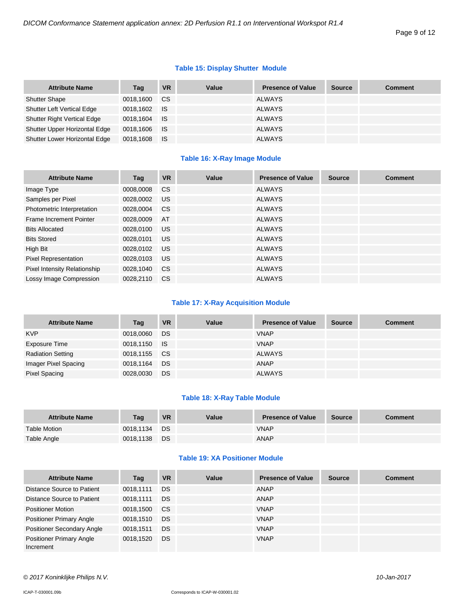#### **Table 15: Display Shutter Module**

| <b>Attribute Name</b>              | Tag       | <b>VR</b>   | Value | <b>Presence of Value</b> | <b>Source</b> | <b>Comment</b> |
|------------------------------------|-----------|-------------|-------|--------------------------|---------------|----------------|
| <b>Shutter Shape</b>               | 0018,1600 | <b>CS</b>   |       | <b>ALWAYS</b>            |               |                |
| <b>Shutter Left Vertical Edge</b>  | 0018,1602 | <b>IS</b>   |       | ALWAYS                   |               |                |
| <b>Shutter Right Vertical Edge</b> | 0018.1604 | <b>IS</b>   |       | ALWAYS                   |               |                |
| Shutter Upper Horizontal Edge      | 0018,1606 | <b>I</b> IS |       | ALWAYS                   |               |                |
| Shutter Lower Horizontal Edge      | 0018,1608 | ⊟ IS        |       | <b>ALWAYS</b>            |               |                |

#### **Table 16: X-Ray Image Module**

| <b>Attribute Name</b>               | Tag       | <b>VR</b>     | Value | <b>Presence of Value</b> | <b>Source</b> | <b>Comment</b> |
|-------------------------------------|-----------|---------------|-------|--------------------------|---------------|----------------|
| Image Type                          | 0008,0008 | <b>CS</b>     |       | <b>ALWAYS</b>            |               |                |
| Samples per Pixel                   | 0028,0002 | US.           |       | <b>ALWAYS</b>            |               |                |
| Photometric Interpretation          | 0028,0004 | <b>CS</b>     |       | <b>ALWAYS</b>            |               |                |
| Frame Increment Pointer             | 0028.0009 | AT            |       | <b>ALWAYS</b>            |               |                |
| <b>Bits Allocated</b>               | 0028.0100 | <b>US</b>     |       | <b>ALWAYS</b>            |               |                |
| <b>Bits Stored</b>                  | 0028.0101 | US.           |       | <b>ALWAYS</b>            |               |                |
| High Bit                            | 0028,0102 | US.           |       | <b>ALWAYS</b>            |               |                |
| <b>Pixel Representation</b>         | 0028,0103 | US.           |       | <b>ALWAYS</b>            |               |                |
| <b>Pixel Intensity Relationship</b> | 0028,1040 | <sub>CS</sub> |       | <b>ALWAYS</b>            |               |                |
| Lossy Image Compression             | 0028.2110 | <sub>CS</sub> |       | <b>ALWAYS</b>            |               |                |

#### **Table 17: X-Ray Acquisition Module**

| <b>Attribute Name</b>    | Tag          | <b>VR</b> | Value | <b>Presence of Value</b> | <b>Source</b> | <b>Comment</b> |
|--------------------------|--------------|-----------|-------|--------------------------|---------------|----------------|
| <b>KVP</b>               | 0018,0060    | DS        |       | <b>VNAP</b>              |               |                |
| Exposure Time            | 0018,1150 IS |           |       | <b>VNAP</b>              |               |                |
| <b>Radiation Setting</b> | 0018,1155 CS |           |       | ALWAYS                   |               |                |
| Imager Pixel Spacing     | 0018,1164    | DS        |       | ANAP                     |               |                |
| Pixel Spacing            | 0028,0030    | DS        |       | <b>ALWAYS</b>            |               |                |

#### **Table 18: X-Ray Table Module**

| <b>Attribute Name</b> | Tag       | <b>VR</b> | Value | <b>Presence of Value</b> | <b>Source</b> | <b>Comment</b> |
|-----------------------|-----------|-----------|-------|--------------------------|---------------|----------------|
| Table Motion          | 0018.1134 | <b>DS</b> |       | <b>VNAP</b>              |               |                |
| Table Angle           | 0018,1138 | DS        |       | ANAP                     |               |                |

#### **Table 19: XA Positioner Module**

| <b>Attribute Name</b>                        | Tag       | <b>VR</b>     | Value | <b>Presence of Value</b> | <b>Source</b> | <b>Comment</b> |
|----------------------------------------------|-----------|---------------|-------|--------------------------|---------------|----------------|
| Distance Source to Patient                   | 0018.1111 | DS            |       | <b>ANAP</b>              |               |                |
| Distance Source to Patient                   | 0018.1111 | DS.           |       | <b>ANAP</b>              |               |                |
| <b>Positioner Motion</b>                     | 0018,1500 | <sub>CS</sub> |       | <b>VNAP</b>              |               |                |
| <b>Positioner Primary Angle</b>              | 0018.1510 | DS            |       | <b>VNAP</b>              |               |                |
| Positioner Secondary Angle                   | 0018.1511 | <b>DS</b>     |       | <b>VNAP</b>              |               |                |
| <b>Positioner Primary Angle</b><br>Increment | 0018.1520 | <b>DS</b>     |       | <b>VNAP</b>              |               |                |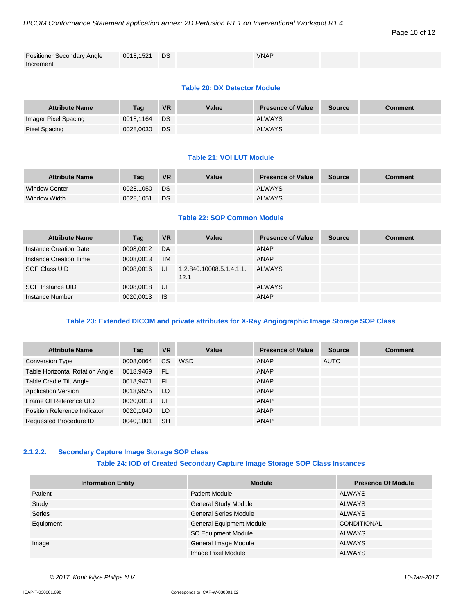#### Page 10 of 12

| <b>Positioner Secondary Angle</b> | 0018,1521 DS | <b>VNAP</b> |  |
|-----------------------------------|--------------|-------------|--|
| Increment                         |              |             |  |

#### **Table 20: DX Detector Module**

| <b>Attribute Name</b> | Taq       | <b>VR</b> | Value | <b>Presence of Value</b> | <b>Source</b> | <b>Comment</b> |
|-----------------------|-----------|-----------|-------|--------------------------|---------------|----------------|
| Imager Pixel Spacing  | 0018.1164 | DS        |       | <b>ALWAYS</b>            |               |                |
| Pixel Spacing         | 0028,0030 | <b>DS</b> |       | <b>ALWAYS</b>            |               |                |

#### **Table 21: VOI LUT Module**

| <b>Attribute Name</b> | Tag       | <b>VR</b> | Value | <b>Presence of Value</b> | <b>Source</b> | <b>Comment</b> |
|-----------------------|-----------|-----------|-------|--------------------------|---------------|----------------|
| <b>Window Center</b>  | 0028.1050 | <b>DS</b> |       | <b>ALWAYS</b>            |               |                |
| Window Width          | 0028.1051 | DS.       |       | <b>ALWAYS</b>            |               |                |

#### **Table 22: SOP Common Module**

| <b>Attribute Name</b>  | Tag       | <b>VR</b> | Value                            | <b>Presence of Value</b> | <b>Source</b> | <b>Comment</b> |
|------------------------|-----------|-----------|----------------------------------|--------------------------|---------------|----------------|
| Instance Creation Date | 0008.0012 | DA        |                                  | ANAP                     |               |                |
| Instance Creation Time | 0008,0013 | <b>TM</b> |                                  | ANAP                     |               |                |
| SOP Class UID          | 0008.0016 | UI        | 1.2.840.10008.5.1.4.1.1.<br>12.1 | ALWAYS                   |               |                |
| SOP Instance UID       | 0008,0018 | UI        |                                  | ALWAYS                   |               |                |
| Instance Number        | 0020,0013 | <b>IS</b> |                                  | ANAP                     |               |                |

#### **Table 23: Extended DICOM and private attributes for X-Ray Angiographic Image Storage SOP Class**

| <b>Attribute Name</b>                  | Tag       | <b>VR</b>       | Value      | <b>Presence of Value</b> | <b>Source</b> | <b>Comment</b> |
|----------------------------------------|-----------|-----------------|------------|--------------------------|---------------|----------------|
| <b>Conversion Type</b>                 | 0008.0064 | <b>CS</b>       | <b>WSD</b> | ANAP                     | AUTO          |                |
| <b>Table Horizontal Rotation Angle</b> | 0018,9469 | - FL            |            | ANAP                     |               |                |
| Table Cradle Tilt Angle                | 0018.9471 | - FL            |            | <b>ANAP</b>              |               |                |
| <b>Application Version</b>             | 0018,9525 | LO <sub>1</sub> |            | <b>ANAP</b>              |               |                |
| Frame Of Reference UID                 | 0020,0013 | UI              |            | ANAP                     |               |                |
| Position Reference Indicator           | 0020,1040 | LO.             |            | <b>ANAP</b>              |               |                |
| Requested Procedure ID                 | 0040.1001 | <b>SH</b>       |            | ANAP                     |               |                |

#### <span id="page-9-0"></span>**2.1.2.2. Secondary Capture Image Storage SOP class**

#### **Table 24: IOD of Created Secondary Capture Image Storage SOP Class Instances**

| <b>Information Entity</b> | <b>Module</b>                   | <b>Presence Of Module</b> |
|---------------------------|---------------------------------|---------------------------|
| Patient                   | <b>Patient Module</b>           | ALWAYS                    |
| Study                     | <b>General Study Module</b>     | ALWAYS                    |
| <b>Series</b>             | <b>General Series Module</b>    | ALWAYS                    |
| Equipment                 | <b>General Equipment Module</b> | CONDITIONAL               |
|                           | <b>SC Equipment Module</b>      | ALWAYS                    |
| Image                     | General Image Module            | ALWAYS                    |
|                           | Image Pixel Module              | ALWAYS                    |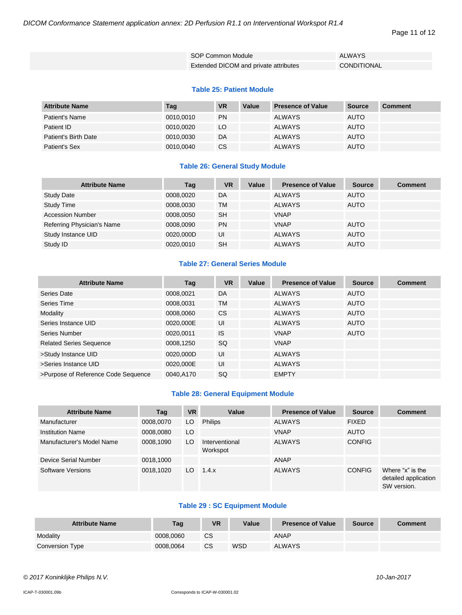*DICOM Conformance Statement application annex: 2D Perfusion R1.1 on Interventional Workspot R1.4*

Page 11 of 12

| SOP Common Module                     | <b>ALWAYS</b>      |
|---------------------------------------|--------------------|
| Extended DICOM and private attributes | <b>CONDITIONAL</b> |

#### **Table 25: Patient Module**

| <b>Attribute Name</b> | Tag       | <b>VR</b> | Value | <b>Presence of Value</b> | Source      | <b>Comment</b> |
|-----------------------|-----------|-----------|-------|--------------------------|-------------|----------------|
| Patient's Name        | 0010,0010 | <b>PN</b> |       | <b>ALWAYS</b>            | AUTO        |                |
| Patient ID            | 0010.0020 | LO        |       | <b>ALWAYS</b>            | <b>AUTO</b> |                |
| Patient's Birth Date  | 0010,0030 | DA        |       | <b>ALWAYS</b>            | <b>AUTO</b> |                |
| Patient's Sex         | 0010,0040 | <b>CS</b> |       | <b>ALWAYS</b>            | <b>AUTO</b> |                |

#### **Table 26: General Study Module**

| <b>Attribute Name</b>      | Tag       | <b>VR</b> | Value | <b>Presence of Value</b> | <b>Source</b> | <b>Comment</b> |
|----------------------------|-----------|-----------|-------|--------------------------|---------------|----------------|
| <b>Study Date</b>          | 0008,0020 | DA        |       | ALWAYS                   | <b>AUTO</b>   |                |
| <b>Study Time</b>          | 0008,0030 | TM        |       | <b>ALWAYS</b>            | <b>AUTO</b>   |                |
| <b>Accession Number</b>    | 0008.0050 | <b>SH</b> |       | <b>VNAP</b>              |               |                |
| Referring Physician's Name | 0008,0090 | <b>PN</b> |       | <b>VNAP</b>              | <b>AUTO</b>   |                |
| Study Instance UID         | 0020,000D | UI        |       | <b>ALWAYS</b>            | <b>AUTO</b>   |                |
| Study ID                   | 0020,0010 | <b>SH</b> |       | <b>ALWAYS</b>            | <b>AUTO</b>   |                |

#### **Table 27: General Series Module**

| <b>Attribute Name</b>               | Tag       | <b>VR</b> | Value | <b>Presence of Value</b> | <b>Source</b> | <b>Comment</b> |
|-------------------------------------|-----------|-----------|-------|--------------------------|---------------|----------------|
| Series Date                         | 0008,0021 | DA        |       | <b>ALWAYS</b>            | <b>AUTO</b>   |                |
| Series Time                         | 0008,0031 | TM        |       | <b>ALWAYS</b>            | <b>AUTO</b>   |                |
| Modality                            | 0008,0060 | CS.       |       | <b>ALWAYS</b>            | <b>AUTO</b>   |                |
| Series Instance UID                 | 0020,000E | UI        |       | <b>ALWAYS</b>            | <b>AUTO</b>   |                |
| Series Number                       | 0020,0011 | <b>IS</b> |       | <b>VNAP</b>              | <b>AUTO</b>   |                |
| <b>Related Series Sequence</b>      | 0008,1250 | SQ.       |       | <b>VNAP</b>              |               |                |
| >Study Instance UID                 | 0020.000D | UI        |       | <b>ALWAYS</b>            |               |                |
| >Series Instance UID                | 0020.000E | UI        |       | <b>ALWAYS</b>            |               |                |
| >Purpose of Reference Code Sequence | 0040.A170 | SQ        |       | <b>EMPTY</b>             |               |                |

#### **Table 28: General Equipment Module**

| <b>Attribute Name</b>     | Tag       | <b>VR</b> | Value                      | <b>Presence of Value</b> | <b>Source</b> | <b>Comment</b>                                          |
|---------------------------|-----------|-----------|----------------------------|--------------------------|---------------|---------------------------------------------------------|
| Manufacturer              | 0008,0070 | LO        | <b>Philips</b>             | <b>ALWAYS</b>            | <b>FIXED</b>  |                                                         |
| <b>Institution Name</b>   | 0008,0080 | LO.       |                            | <b>VNAP</b>              | <b>AUTO</b>   |                                                         |
| Manufacturer's Model Name | 0008,1090 | LO        | Interventional<br>Workspot | <b>ALWAYS</b>            | <b>CONFIG</b> |                                                         |
| Device Serial Number      | 0018,1000 |           |                            | ANAP                     |               |                                                         |
| Software Versions         | 0018,1020 | LO.       | 1.4.x                      | <b>ALWAYS</b>            | <b>CONFIG</b> | Where "x" is the<br>detailed application<br>SW version. |

## **Table 29 : SC Equipment Module**

| <b>Attribute Name</b> | Tag       | <b>VR</b> | Value | <b>Presence of Value</b> | <b>Source</b> | Comment |
|-----------------------|-----------|-----------|-------|--------------------------|---------------|---------|
| Modality              | 0008.0060 | <b>CS</b> |       | ANAP                     |               |         |
| Conversion Type       | 0008.0064 | <b>CS</b> | WSD   | <b>ALWAYS</b>            |               |         |